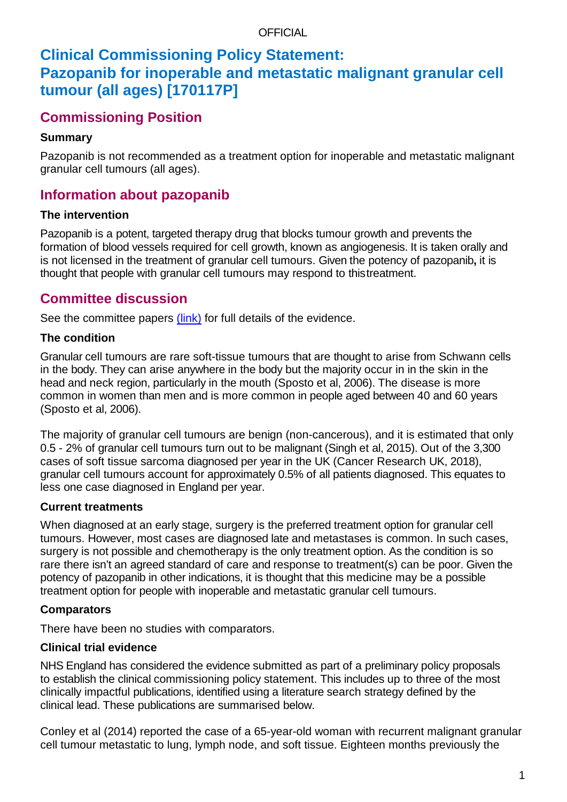#### OFFICIAL

# **Clinical Commissioning Policy Statement: Pazopanib for inoperable and metastatic malignant granular cell tumour (all ages) [170117P]**

# **Commissioning Position**

### **Summary**

Pazopanib is not recommended as a treatment option for inoperable and metastatic malignant granular cell tumours (all ages).

## **Information about pazopanib**

### **The intervention**

Pazopanib is a potent, targeted therapy drug that blocks tumour growth and prevents the formation of blood vessels required for cell growth, known as angiogenesis. It is taken orally and is not licensed in the treatment of granular cell tumours. Given the potency of pazopanib**,** it is thought that people with granular cell tumours may respond to thistreatment.

## **Committee discussion**

See the committee papers *(link)* for full details of the evidence.

### **The condition**

Granular cell tumours are rare soft-tissue tumours that are thought to arise from Schwann cells in the body. They can arise anywhere in the body but the majority occur in in the skin in the head and neck region, particularly in the mouth (Sposto et al, 2006). The disease is more common in women than men and is more common in people aged between 40 and 60 years (Sposto et al, 2006).

The majority of granular cell tumours are benign (non-cancerous), and it is estimated that only 0.5 - 2% of granular cell tumours turn out to be malignant (Singh et al, 2015). Out of the 3,300 cases of soft tissue sarcoma diagnosed per year in the UK (Cancer Research UK, 2018), granular cell tumours account for approximately 0.5% of all patients diagnosed. This equates to less one case diagnosed in England per year.

### **Current treatments**

When diagnosed at an early stage, surgery is the preferred treatment option for granular cell tumours. However, most cases are diagnosed late and metastases is common. In such cases, surgery is not possible and chemotherapy is the only treatment option. As the condition is so rare there isn't an agreed standard of care and response to treatment(s) can be poor. Given the potency of pazopanib in other indications, it is thought that this medicine may be a possible treatment option for people with inoperable and metastatic granular cell tumours.

## **Comparators**

There have been no studies with comparators.

## **Clinical trial evidence**

NHS England has considered the evidence submitted as part of a preliminary policy proposals to establish the clinical commissioning policy statement. This includes up to three of the most clinically impactful publications, identified using a literature search strategy defined by the clinical lead. These publications are summarised below.

Conley et al (2014) reported the case of a 65-year-old woman with recurrent malignant granular cell tumour metastatic to lung, lymph node, and soft tissue. Eighteen months previously the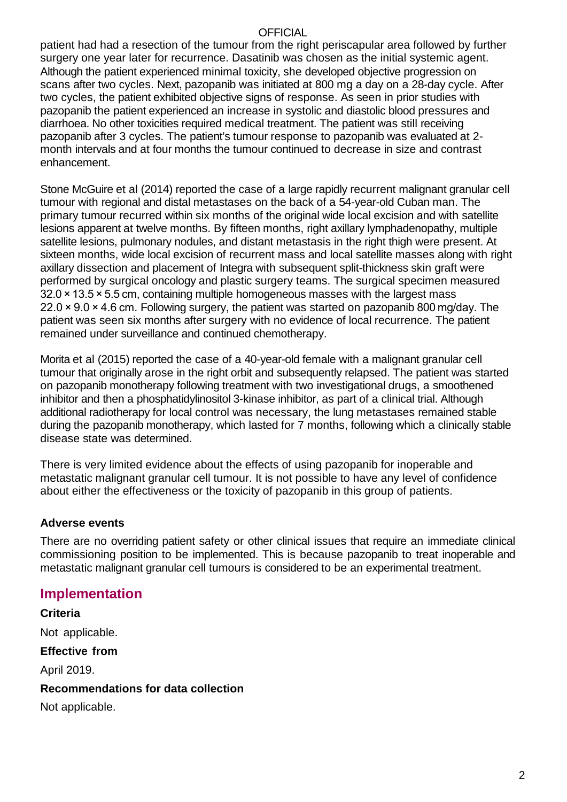#### **OFFICIAL**

patient had had a resection of the tumour from the right periscapular area followed by further surgery one year later for recurrence. Dasatinib was chosen as the initial systemic agent. Although the patient experienced minimal toxicity, she developed objective progression on scans after two cycles. Next, pazopanib was initiated at 800 mg a day on a 28-day cycle. After two cycles, the patient exhibited objective signs of response. As seen in prior studies with pazopanib the patient experienced an increase in systolic and diastolic blood pressures and diarrhoea. No other toxicities required medical treatment. The patient was still receiving pazopanib after 3 cycles. The patient's tumour response to pazopanib was evaluated at 2 month intervals and at four months the tumour continued to decrease in size and contrast enhancement.

Stone McGuire et al (2014) reported the case of a large rapidly recurrent malignant granular cell tumour with regional and distal metastases on the back of a 54-year-old Cuban man. The primary tumour recurred within six months of the original wide local excision and with satellite lesions apparent at twelve months. By fifteen months, right axillary lymphadenopathy, multiple satellite lesions, pulmonary nodules, and distant metastasis in the right thigh were present. At sixteen months, wide local excision of recurrent mass and local satellite masses along with right axillary dissection and placement of Integra with subsequent split-thickness skin graft were performed by surgical oncology and plastic surgery teams. The surgical specimen measured 32.0 × 13.5 × 5.5 cm, containing multiple homogeneous masses with the largest mass 22.0 × 9.0 × 4.6 cm. Following surgery, the patient was started on pazopanib 800 mg/day. The patient was seen six months after surgery with no evidence of local recurrence. The patient remained under surveillance and continued chemotherapy.

Morita et al (2015) reported the case of a 40-year-old female with a malignant granular cell tumour that originally arose in the right orbit and subsequently relapsed. The patient was started on pazopanib monotherapy following treatment with two investigational drugs, a smoothened inhibitor and then a phosphatidylinositol 3-kinase inhibitor, as part of a clinical trial. Although additional radiotherapy for local control was necessary, the lung metastases remained stable during the pazopanib monotherapy, which lasted for 7 months, following which a clinically stable disease state was determined.

There is very limited evidence about the effects of using pazopanib for inoperable and metastatic malignant granular cell tumour. It is not possible to have any level of confidence about either the effectiveness or the toxicity of pazopanib in this group of patients.

#### **Adverse events**

There are no overriding patient safety or other clinical issues that require an immediate clinical commissioning position to be implemented. This is because pazopanib to treat inoperable and metastatic malignant granular cell tumours is considered to be an experimental treatment.

### **Implementation**

**Criteria** Not applicable. **Effective from**  April 2019. **Recommendations for data collection** Not applicable.